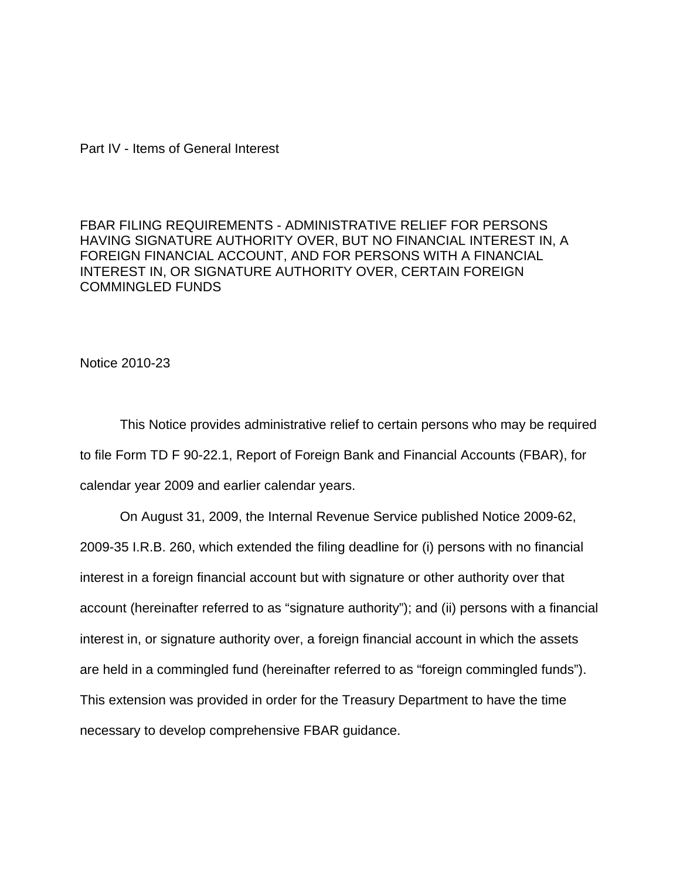## Part IV - Items of General Interest

FBAR FILING REQUIREMENTS - ADMINISTRATIVE RELIEF FOR PERSONS HAVING SIGNATURE AUTHORITY OVER, BUT NO FINANCIAL INTEREST IN, A FOREIGN FINANCIAL ACCOUNT, AND FOR PERSONS WITH A FINANCIAL INTEREST IN, OR SIGNATURE AUTHORITY OVER, CERTAIN FOREIGN COMMINGLED FUNDS

Notice 2010-23

This Notice provides administrative relief to certain persons who may be required to file Form TD F 90-22.1, Report of Foreign Bank and Financial Accounts (FBAR), for calendar year 2009 and earlier calendar years.

On August 31, 2009, the Internal Revenue Service published Notice 2009-62, 2009-35 I.R.B. 260, which extended the filing deadline for (i) persons with no financial interest in a foreign financial account but with signature or other authority over that account (hereinafter referred to as "signature authority"); and (ii) persons with a financial interest in, or signature authority over, a foreign financial account in which the assets are held in a commingled fund (hereinafter referred to as "foreign commingled funds"). This extension was provided in order for the Treasury Department to have the time necessary to develop comprehensive FBAR guidance.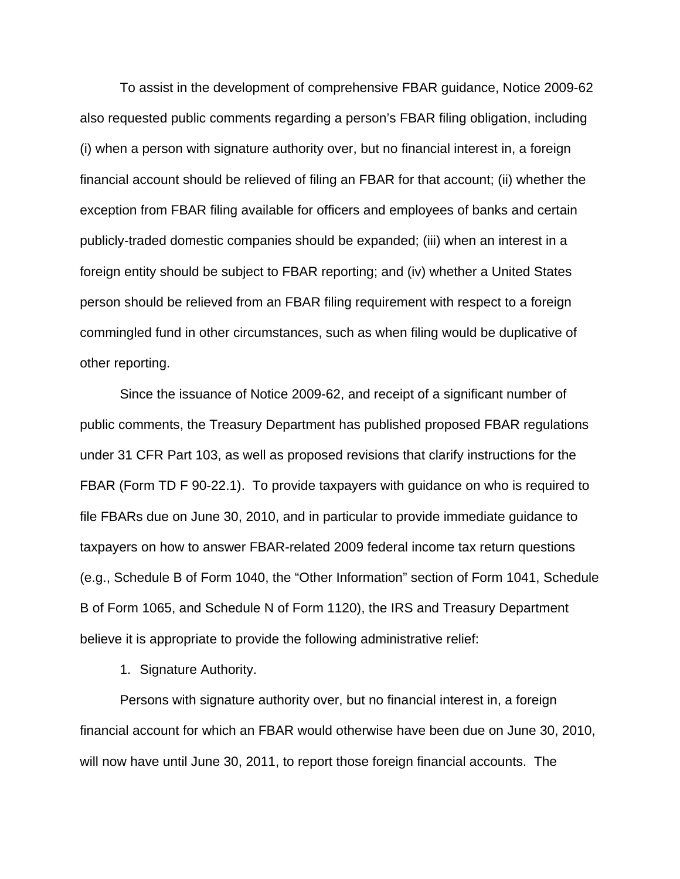To assist in the development of comprehensive FBAR guidance, Notice 2009-62 also requested public comments regarding a person's FBAR filing obligation, including (i) when a person with signature authority over, but no financial interest in, a foreign financial account should be relieved of filing an FBAR for that account; (ii) whether the exception from FBAR filing available for officers and employees of banks and certain publicly-traded domestic companies should be expanded; (iii) when an interest in a foreign entity should be subject to FBAR reporting; and (iv) whether a United States person should be relieved from an FBAR filing requirement with respect to a foreign commingled fund in other circumstances, such as when filing would be duplicative of other reporting.

Since the issuance of Notice 2009-62, and receipt of a significant number of public comments, the Treasury Department has published proposed FBAR regulations under 31 CFR Part 103, as well as proposed revisions that clarify instructions for the FBAR (Form TD F 90-22.1). To provide taxpayers with guidance on who is required to file FBARs due on June 30, 2010, and in particular to provide immediate guidance to taxpayers on how to answer FBAR-related 2009 federal income tax return questions (e.g., Schedule B of Form 1040, the "Other Information" section of Form 1041, Schedule B of Form 1065, and Schedule N of Form 1120), the IRS and Treasury Department believe it is appropriate to provide the following administrative relief:

1. Signature Authority.

Persons with signature authority over, but no financial interest in, a foreign financial account for which an FBAR would otherwise have been due on June 30, 2010, will now have until June 30, 2011, to report those foreign financial accounts. The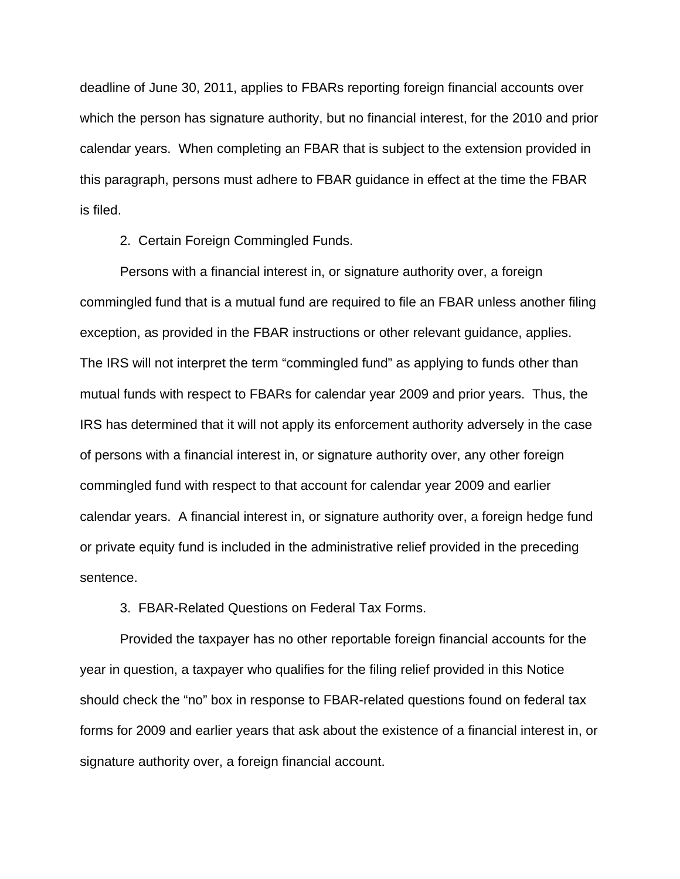deadline of June 30, 2011, applies to FBARs reporting foreign financial accounts over which the person has signature authority, but no financial interest, for the 2010 and prior calendar years. When completing an FBAR that is subject to the extension provided in this paragraph, persons must adhere to FBAR guidance in effect at the time the FBAR is filed.

2. Certain Foreign Commingled Funds.

Persons with a financial interest in, or signature authority over, a foreign commingled fund that is a mutual fund are required to file an FBAR unless another filing exception, as provided in the FBAR instructions or other relevant guidance, applies. The IRS will not interpret the term "commingled fund" as applying to funds other than mutual funds with respect to FBARs for calendar year 2009 and prior years. Thus, the IRS has determined that it will not apply its enforcement authority adversely in the case of persons with a financial interest in, or signature authority over, any other foreign commingled fund with respect to that account for calendar year 2009 and earlier calendar years. A financial interest in, or signature authority over, a foreign hedge fund or private equity fund is included in the administrative relief provided in the preceding sentence.

3. FBAR-Related Questions on Federal Tax Forms.

Provided the taxpayer has no other reportable foreign financial accounts for the year in question, a taxpayer who qualifies for the filing relief provided in this Notice should check the "no" box in response to FBAR-related questions found on federal tax forms for 2009 and earlier years that ask about the existence of a financial interest in, or signature authority over, a foreign financial account.